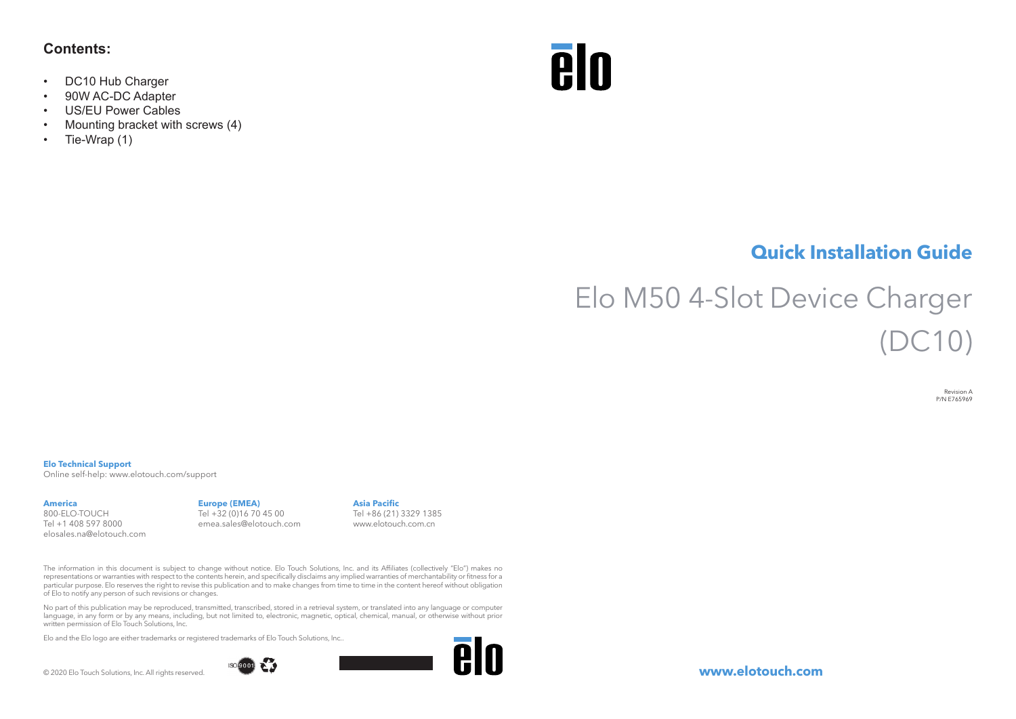### **Contents:**

- DC10 Hub Charger
- 90W AC-DC Adapter
- US/EU Power Cables
- Mounting bracket with screws (4)
- Tie-Wrap (1)



## **Quick Installation Guide**

# Elo M50 4-Slot Device Charger  $($  $10)$

Revision A P/N E765969

#### **Elo Technical Support**

Online self-help: www.elotouch.com/support

#### **America**

800-ELO-TOUCH Tel +1 408 597 8000 elosales.na@elotouch.com

#### **Europe (EMEA)** Tel +32 (0)16 70 45 00 emea.sales@elotouch.com

**Asia Pacific** Tel +86 (21) 3329 1385 www.elotouch.com.cn

The information in this document is subject to change without notice. Elo Touch Solutions, Inc. and its Affiliates (collectively "Elo") makes no representations or warranties with respect to the contents herein, and specifically disclaims any implied warranties of merchantability or fitness for a particular purpose. Elo reserves the right to revise this publication and to make changes from time to time in the content hereof without obligation of Elo to notify any person of such revisions or changes.

No part of this publication may be reproduced, transmitted, transcribed, stored in a retrieval system, or translated into any language or computer language, in any form or by any means, including, but not limited to, electronic, magnetic, optical, chemical, manual, or otherwise without prior written permission of Elo Touch Solutions, Inc.

Elo and the Elo logo are either trademarks or registered trademarks of Elo Touch Solutions, Inc..

© 2020 Elo Touch Solutions, Inc. All rights reserved.





**www.elotouch.com**